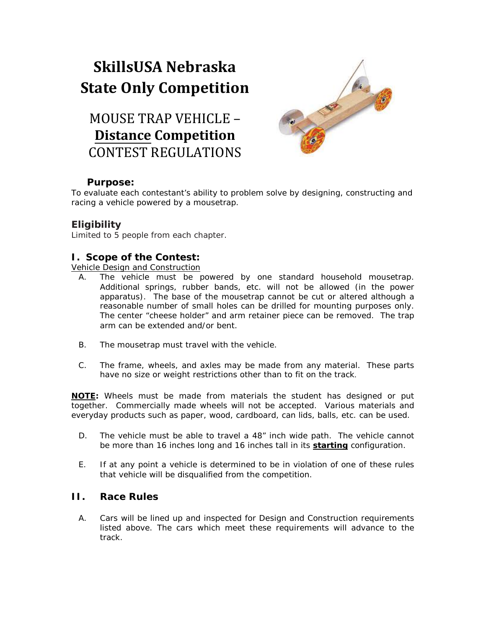# **SkillsUSA Nebraska State Only Competition**

# MOUSE TRAP VEHICLE – **Distance Competition** CONTEST REGULATIONS



#### **Purpose:**

To evaluate each contestant's ability to problem solve by designing, constructing and racing a vehicle powered by a mousetrap.

## **Eligibility**

Limited to 5 people from each chapter.

## **I. Scope of the Contest:**

Vehicle Design and Construction

- A. The vehicle must be powered by one standard household mousetrap. Additional springs, rubber bands, etc. will not be allowed (in the power apparatus). The base of the mousetrap cannot be cut or altered although a reasonable number of small holes can be drilled for mounting purposes only. The center "cheese holder" and arm retainer piece can be removed. The trap arm can be extended and/or bent.
- B. The mousetrap must travel with the vehicle.
- C. The frame, wheels, and axles may be made from any material. These parts have no size or weight restrictions other than to fit on the track.

*NOTE: Wheels must be made from materials the student has designed or put together. Commercially made wheels will not be accepted. Various materials and everyday products such as paper, wood, cardboard, can lids, balls, etc. can be used.*

- D. The vehicle must be able to travel a 48" inch wide path. The vehicle cannot be more than 16 inches long and 16 inches tall in its **starting** configuration.
- E. If at any point a vehicle is determined to be in violation of one of these rules that vehicle will be disqualified from the competition.

#### **II. Race Rules**

A. Cars will be lined up and inspected for Design and Construction requirements listed above. The cars which meet these requirements will advance to the track.